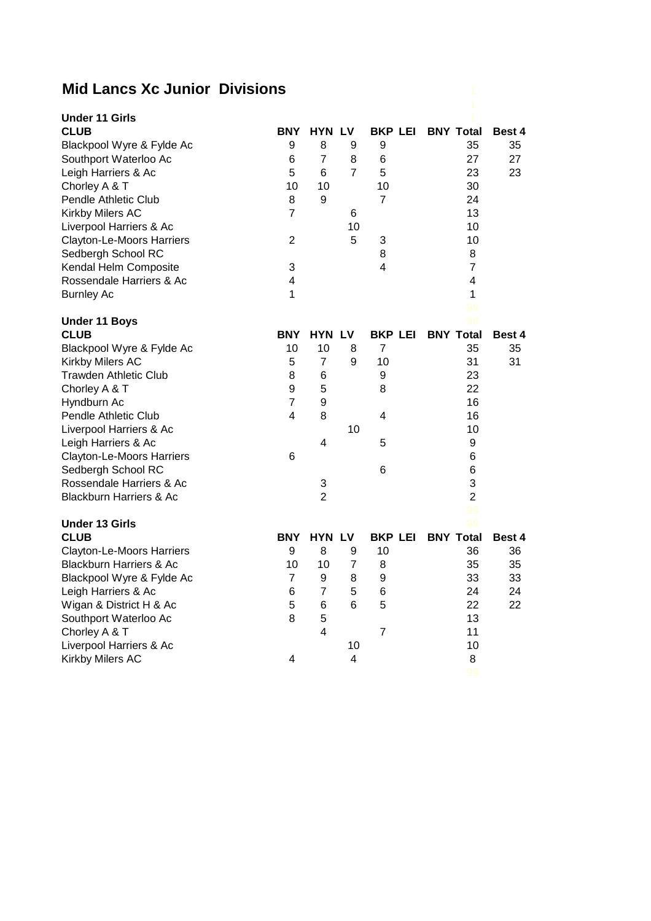## **Mid Lancs Xc Junior Divisions**

| <b>Under 11 Girls</b>              |                         |                 |                |                  |                          |        |
|------------------------------------|-------------------------|-----------------|----------------|------------------|--------------------------|--------|
| <b>CLUB</b>                        | <b>BNY</b>              | <b>HYN LV</b>   |                |                  | <b>BKP LEI BNY Total</b> | Best 4 |
| Blackpool Wyre & Fylde Ac          | 9                       | 8               | 9              | 9                | 35                       | 35     |
| Southport Waterloo Ac              | 6                       | $\overline{7}$  | 8              | $6\phantom{1}6$  | 27                       | 27     |
| Leigh Harriers & Ac                | 5                       | $6\phantom{1}6$ | $\overline{7}$ | 5                | 23                       | 23     |
| Chorley A & T                      | 10                      | 10              |                | 10               | 30                       |        |
| Pendle Athletic Club               | 8                       | 9               |                | $\overline{7}$   | 24                       |        |
| Kirkby Milers AC                   | 7                       |                 | 6              |                  | 13                       |        |
| Liverpool Harriers & Ac            |                         |                 | 10             |                  | 10                       |        |
| <b>Clayton-Le-Moors Harriers</b>   | $\overline{2}$          |                 | 5              | 3                | 10                       |        |
| Sedbergh School RC                 |                         |                 |                | 8                | 8                        |        |
| Kendal Helm Composite              | 3                       |                 |                | 4                | $\overline{7}$           |        |
| Rossendale Harriers & Ac           | $\overline{4}$          |                 |                |                  | $\overline{\mathbf{4}}$  |        |
| <b>Burnley Ac</b>                  | $\mathbf{1}$            |                 |                |                  | $\mathbf{1}$             |        |
|                                    |                         |                 |                |                  | 99                       |        |
| <b>Under 11 Boys</b>               |                         |                 |                |                  | 99                       |        |
| <b>CLUB</b>                        | <b>BNY</b>              | <b>HYN LV</b>   |                | <b>BKP LEI</b>   | <b>BNY Total</b>         | Best 4 |
| Blackpool Wyre & Fylde Ac          | 10                      | 10              | 8              | 7                | 35                       | 35     |
| Kirkby Milers AC                   | 5                       | $\overline{7}$  | 9              | 10               | 31                       | 31     |
| <b>Trawden Athletic Club</b>       | 8                       | 6               |                | 9                | 23                       |        |
| Chorley A & T                      | 9                       | 5               |                | 8                | 22                       |        |
| Hyndburn Ac                        | $\overline{7}$          | 9               |                |                  | 16                       |        |
| Pendle Athletic Club               | $\overline{\mathbf{4}}$ | 8               |                | 4                | 16                       |        |
| Liverpool Harriers & Ac            |                         |                 | 10             |                  | 10                       |        |
| Leigh Harriers & Ac                |                         | 4               |                | 5                | 9                        |        |
| <b>Clayton-Le-Moors Harriers</b>   | 6                       |                 |                |                  | 6                        |        |
| Sedbergh School RC                 |                         |                 |                | 6                | 6                        |        |
| Rossendale Harriers & Ac           |                         | 3               |                |                  | 3                        |        |
| <b>Blackburn Harriers &amp; Ac</b> |                         | $\overline{2}$  |                |                  | $\overline{2}$           |        |
|                                    |                         |                 |                |                  | 99                       |        |
| <b>Under 13 Girls</b>              |                         |                 |                |                  | 99                       |        |
| <b>CLUB</b>                        | <b>BNY</b>              | <b>HYN LV</b>   |                | <b>BKP LEI</b>   | <b>BNY Total</b>         | Best 4 |
| Clayton-Le-Moors Harriers          | 9                       | 8               | 9              | 10               | 36                       | 36     |
| <b>Blackburn Harriers &amp; Ac</b> | 10                      | 10              | $\overline{7}$ | 8                | 35                       | 35     |
| Blackpool Wyre & Fylde Ac          | $\overline{7}$          | 9               | 8              | $\boldsymbol{9}$ | 33                       | 33     |
| Leigh Harriers & Ac                | 6                       | $\overline{7}$  | 5              | 6                | 24                       | 24     |
| Wigan & District H & Ac            | 5                       | 6               | $6\phantom{1}$ | 5                | 22                       | 22     |
| Southport Waterloo Ac              | 8                       | 5               |                |                  | 13                       |        |
| Chorley A & T                      |                         | $\overline{4}$  |                | 7                | 11                       |        |
| Liverpool Harriers & Ac            |                         |                 | 10             |                  | 10                       |        |
| Kirkby Milers AC                   | 4                       |                 | 4              |                  | 8                        |        |
|                                    |                         |                 |                |                  |                          |        |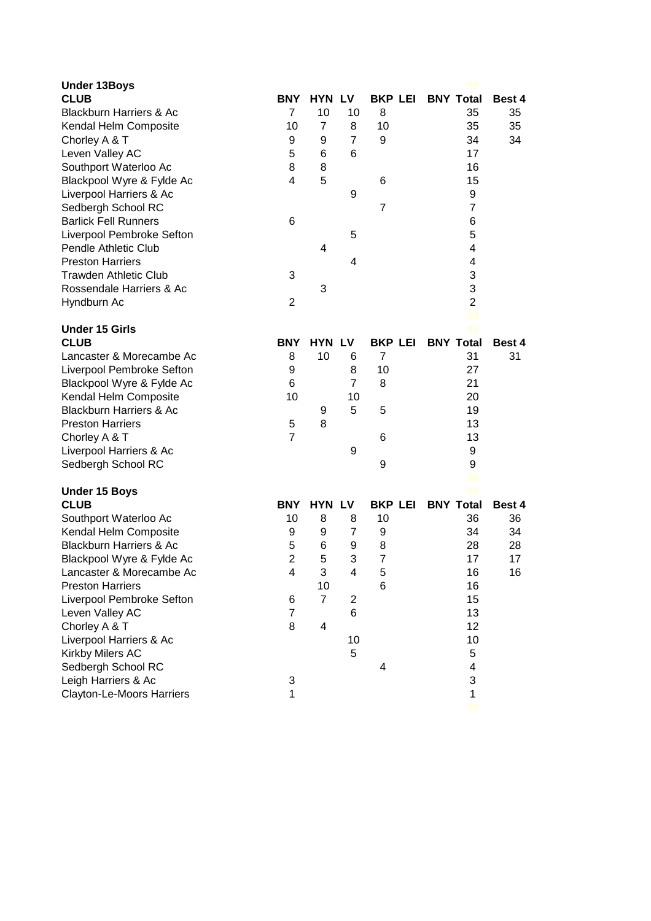| <b>Under 13Boys</b>                |                |                           |                |                |                  |        |
|------------------------------------|----------------|---------------------------|----------------|----------------|------------------|--------|
| <b>CLUB</b>                        | <b>BNY</b>     | <b>HYN LV</b>             |                | <b>BKP LEI</b> | <b>BNY Total</b> | Best 4 |
| <b>Blackburn Harriers &amp; Ac</b> | $\overline{7}$ | 10                        | 10             | 8              | 35               | 35     |
| Kendal Helm Composite              | 10             | $\overline{7}$            | 8              | 10             | 35               | 35     |
| Chorley A & T                      | 9              | 9                         | $\overline{7}$ | 9              | 34               | 34     |
| Leven Valley AC                    | 5              | 6                         | 6              |                | 17               |        |
| Southport Waterloo Ac              | 8              | 8                         |                |                | 16               |        |
| Blackpool Wyre & Fylde Ac          | 4              | 5                         |                | 6              | 15               |        |
| Liverpool Harriers & Ac            |                |                           | 9              |                | 9                |        |
| Sedbergh School RC                 |                |                           |                | $\overline{7}$ | $\overline{7}$   |        |
| <b>Barlick Fell Runners</b>        | 6              |                           |                |                | 6                |        |
| Liverpool Pembroke Sefton          |                |                           | 5              |                | 5                |        |
| <b>Pendle Athletic Club</b>        |                | 4                         |                |                | 4                |        |
| <b>Preston Harriers</b>            |                |                           | 4              |                | $\overline{4}$   |        |
| <b>Trawden Athletic Club</b>       | 3              |                           |                |                | 3                |        |
| Rossendale Harriers & Ac           |                | 3                         |                |                | 3                |        |
| Hyndburn Ac                        | 2              |                           |                |                | $\overline{2}$   |        |
|                                    |                |                           |                |                | 99               |        |
| <b>Under 15 Girls</b>              |                |                           |                |                | 99               |        |
| <b>CLUB</b>                        | <b>BNY</b>     | <b>HYN LV</b>             |                | <b>BKP LEI</b> | <b>BNY Total</b> | Best 4 |
| Lancaster & Morecambe Ac           | 8              | 10                        | 6              | $\overline{7}$ | 31               | 31     |
| Liverpool Pembroke Sefton          | 9              |                           | 8              | 10             | 27               |        |
| Blackpool Wyre & Fylde Ac          | 6              |                           | $\overline{7}$ | 8              | 21               |        |
| Kendal Helm Composite              | 10             |                           | 10             |                | 20               |        |
| <b>Blackburn Harriers &amp; Ac</b> |                | 9                         | 5              | 5              | 19               |        |
| <b>Preston Harriers</b>            | 5              | 8                         |                |                | 13               |        |
| Chorley A & T                      | $\overline{7}$ |                           |                | 6              | 13               |        |
| Liverpool Harriers & Ac            |                |                           | 9              |                | 9                |        |
| Sedbergh School RC                 |                |                           |                | 9              | 9                |        |
|                                    |                |                           |                |                | 99               |        |
| <b>Under 15 Boys</b>               |                |                           |                |                | 99               |        |
| <b>CLUB</b>                        | <b>BNY</b>     | <b>HYN LV</b>             |                | <b>BKP LEI</b> | <b>BNY Total</b> | Best 4 |
| Southport Waterloo Ac              | 10             | 8                         | 8              | 10             | 36               | 36     |
| Kendal Helm Composite              | 9              | 9                         | 7              | 9              | 34               | 34     |
| <b>Blackburn Harriers &amp; Ac</b> | 5              | 6                         | 9              | 8              | 28               | 28     |
| Blackpool Wyre & Fylde Ac          | $\overline{2}$ | 5                         | 3              | $\overline{7}$ | 17               | 17     |
| Lancaster & Morecambe Ac           | 4              | $\ensuremath{\mathsf{3}}$ | 4              | 5              | 16               | 16     |
| <b>Preston Harriers</b>            |                | 10                        |                | 6              | 16               |        |
| Liverpool Pembroke Sefton          | 6              | $\overline{7}$            | $\overline{c}$ |                | 15               |        |
| Leven Valley AC                    | $\overline{7}$ |                           | 6              |                | 13               |        |
| Chorley A & T                      | 8              | 4                         |                |                | 12               |        |
| Liverpool Harriers & Ac            |                |                           | 10             |                | 10               |        |
| Kirkby Milers AC                   |                |                           | 5              |                | 5                |        |
| Sedbergh School RC                 |                |                           |                | 4              | 4                |        |
| Leigh Harriers & Ac                | 3              |                           |                |                | 3                |        |
| Clayton-Le-Moors Harriers          | 1              |                           |                |                | 1                |        |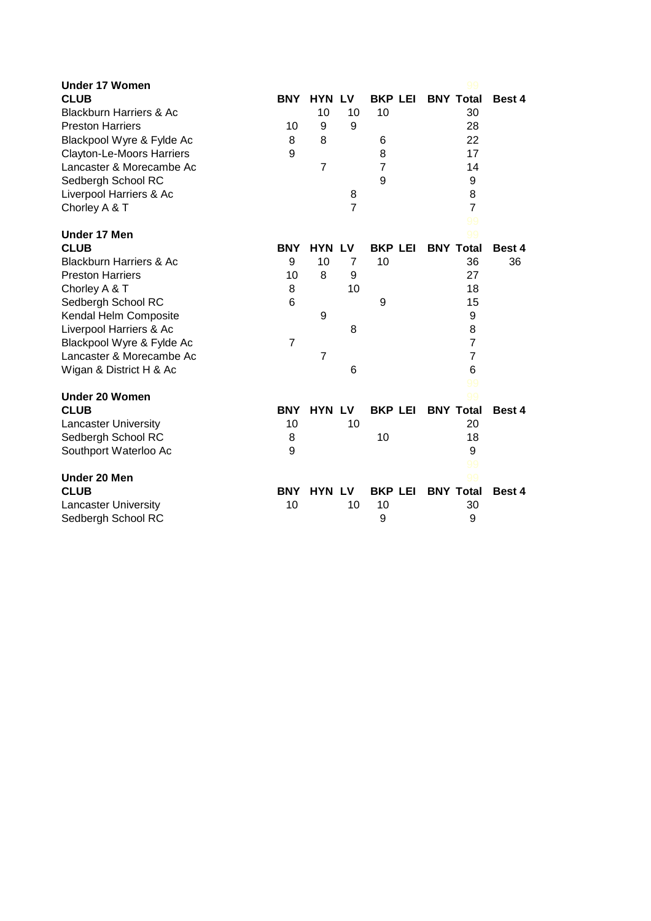| <b>Under 17 Women</b>              |                |                |                |                |                  |        |
|------------------------------------|----------------|----------------|----------------|----------------|------------------|--------|
| <b>CLUB</b>                        | <b>BNY</b>     | <b>HYN LV</b>  |                | <b>BKP LEI</b> | <b>BNY Total</b> | Best 4 |
| <b>Blackburn Harriers &amp; Ac</b> |                | 10             | 10             | 10             | 30               |        |
| <b>Preston Harriers</b>            | 10             | 9              | 9              |                | 28               |        |
| Blackpool Wyre & Fylde Ac          | 8              | 8              |                | 6              | 22               |        |
| <b>Clayton-Le-Moors Harriers</b>   | 9              |                |                | 8              | 17               |        |
| Lancaster & Morecambe Ac           |                | $\overline{7}$ |                | 7              | 14               |        |
| Sedbergh School RC                 |                |                |                | 9              | 9                |        |
| Liverpool Harriers & Ac            |                |                | 8              |                | 8                |        |
| Chorley A & T                      |                |                | $\overline{7}$ |                | $\overline{7}$   |        |
|                                    |                |                |                |                | 99               |        |
| <b>Under 17 Men</b>                |                |                |                |                | 99               |        |
| <b>CLUB</b>                        | <b>BNY</b>     | <b>HYN LV</b>  |                | <b>BKP LEI</b> | <b>BNY Total</b> | Best 4 |
| <b>Blackburn Harriers &amp; Ac</b> | 9              | 10             | 7              | 10             | 36               | 36     |
| <b>Preston Harriers</b>            | 10             | 8              | 9              |                | 27               |        |
| Chorley A & T                      | 8              |                | 10             |                | 18               |        |
| Sedbergh School RC                 | 6              |                |                | 9              | 15               |        |
| Kendal Helm Composite              |                | 9              |                |                | 9                |        |
| Liverpool Harriers & Ac            |                |                | 8              |                | 8                |        |
| Blackpool Wyre & Fylde Ac          | $\overline{7}$ |                |                |                | $\overline{7}$   |        |
| Lancaster & Morecambe Ac           |                | $\overline{7}$ |                |                | $\overline{7}$   |        |
| Wigan & District H & Ac            |                |                | 6              |                | 6                |        |
|                                    |                |                |                |                | 99               |        |
| <b>Under 20 Women</b>              |                |                |                |                | 99               |        |
| <b>CLUB</b>                        | <b>BNY</b>     | <b>HYN LV</b>  |                | <b>BKP LEI</b> | <b>BNY Total</b> | Best 4 |
| <b>Lancaster University</b>        | 10             |                | 10             |                | 20               |        |
| Sedbergh School RC                 | 8              |                |                | 10             | 18               |        |
| Southport Waterloo Ac              | 9              |                |                |                | 9                |        |
|                                    |                |                |                |                | 99               |        |
| Under 20 Men                       |                |                |                |                |                  |        |
| <b>CLUB</b>                        | <b>BNY</b>     | <b>HYN LV</b>  |                | <b>BKP LEI</b> | <b>BNY Total</b> | Best 4 |
| <b>Lancaster University</b>        | 10             |                | 10             | 10             | 30               |        |
| Sedbergh School RC                 |                |                |                | 9              | 9                |        |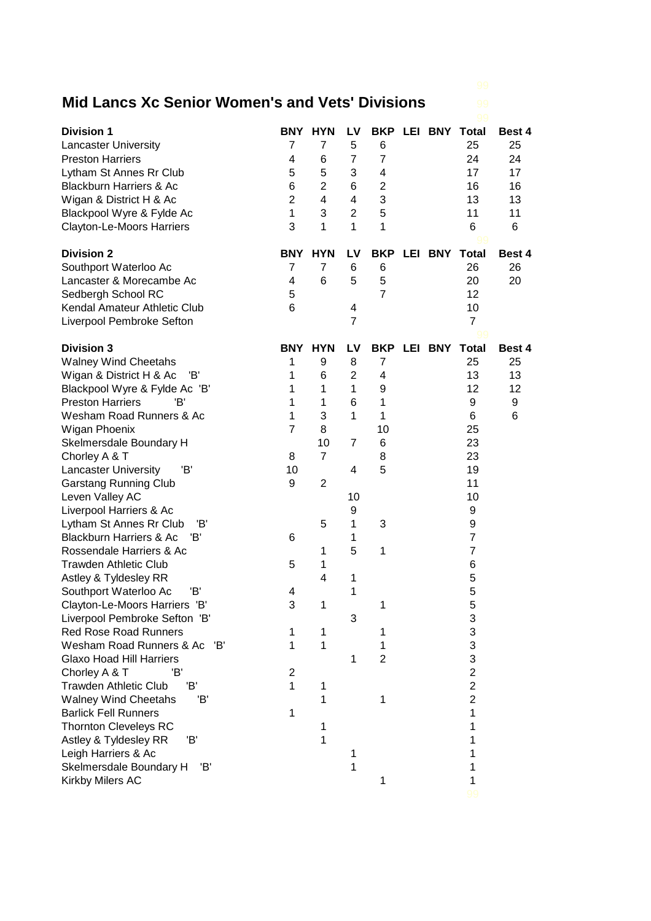## **Mid Lancs Xc Senior Women's and Vets' Divisions** 99

| <b>Division 1</b>                                               |                | BNY HYN        | LV                  |                         |             | <b>BKP LEI BNY Total</b> | Best 4   |
|-----------------------------------------------------------------|----------------|----------------|---------------------|-------------------------|-------------|--------------------------|----------|
| <b>Lancaster University</b>                                     | 7              | $\overline{7}$ | 5                   | 6                       |             | 25                       | 25       |
| <b>Preston Harriers</b>                                         | 4              | 6              | $\overline{7}$      | $\overline{7}$          |             | 24                       | 24       |
| Lytham St Annes Rr Club                                         | 5              | 5              | 3                   | 4                       |             | 17                       | 17       |
| <b>Blackburn Harriers &amp; Ac</b>                              | 6              | $\overline{2}$ | 6                   | $\overline{\mathbf{c}}$ |             | 16                       | 16       |
| Wigan & District H & Ac                                         | $\overline{c}$ | 4              | 4                   | 3                       |             | 13                       | 13       |
| Blackpool Wyre & Fylde Ac                                       | $\mathbf{1}$   | 3              | $\overline{2}$      | 5                       |             | 11                       | 11       |
| Clayton-Le-Moors Harriers                                       | 3              | 1              | 1                   | 1                       |             | 6                        | 6        |
| <b>Division 2</b>                                               | <b>BNY</b>     | <b>HYN</b>     | LV                  | <b>BKP</b>              |             | LEI BNY Total            | Best 4   |
| Southport Waterloo Ac                                           | 7              | 7              | 6                   | 6                       |             | 26                       | 26       |
| Lancaster & Morecambe Ac                                        | 4              | 6              | 5                   | 5                       |             | 20                       | 20       |
| Sedbergh School RC                                              | 5              |                |                     | $\overline{7}$          |             | 12                       |          |
| Kendal Amateur Athletic Club                                    | 6              |                | 4                   |                         |             | 10                       |          |
| Liverpool Pembroke Sefton                                       |                |                | $\overline{7}$      |                         |             | $\overline{7}$           |          |
|                                                                 |                |                |                     |                         |             |                          |          |
| <b>Division 3</b>                                               | <b>BNY</b>     | <b>HYN</b>     | LV                  |                         | BKP LEI BNY | <b>Total</b>             | Best 4   |
| <b>Walney Wind Cheetahs</b><br>Wigan & District H & Ac<br>'B'   | 1<br>1         | 9<br>6         | 8<br>$\overline{2}$ | 7<br>4                  |             | 25<br>13                 | 25<br>13 |
|                                                                 | 1              | 1              | 1                   | 9                       |             | 12                       | 12       |
| Blackpool Wyre & Fylde Ac 'B'<br><b>Preston Harriers</b><br>'B' | 1              | 1              | 6                   | 1                       |             | 9                        | 9        |
| Wesham Road Runners & Ac                                        | 1              | 3              | 1                   | 1                       |             | 6                        | 6        |
| Wigan Phoenix                                                   | $\overline{7}$ | 8              |                     | 10                      |             | 25                       |          |
| Skelmersdale Boundary H                                         |                | 10             | 7                   | 6                       |             | 23                       |          |
| Chorley A & T                                                   | 8              | $\overline{7}$ |                     | 8                       |             | 23                       |          |
| <b>Lancaster University</b><br>'B'                              | 10             |                | 4                   | 5                       |             | 19                       |          |
| <b>Garstang Running Club</b>                                    | 9              | 2              |                     |                         |             | 11                       |          |
| Leven Valley AC                                                 |                |                | 10                  |                         |             | 10                       |          |
| Liverpool Harriers & Ac                                         |                |                | 9                   |                         |             | 9                        |          |
| Lytham St Annes Rr Club<br>'B'                                  |                | 5              | 1                   | 3                       |             | 9                        |          |
| <b>Blackburn Harriers &amp; Ac</b><br>'B'                       | 6              |                | 1                   |                         |             | $\overline{7}$           |          |
| Rossendale Harriers & Ac                                        |                | 1              | 5                   | 1                       |             | $\overline{7}$           |          |
| <b>Trawden Athletic Club</b>                                    | 5              | 1              |                     |                         |             | 6                        |          |
| Astley & Tyldesley RR                                           |                | 4              | 1                   |                         |             | 5                        |          |
| 'B'<br>Southport Waterloo Ac                                    | 4              |                | 1                   |                         |             | 5                        |          |
| Clayton-Le-Moors Harriers 'B'                                   | ٩              | 1              |                     | 1                       |             | 5                        |          |
| Liverpool Pembroke Sefton 'B'                                   |                |                | 3                   |                         |             | 3                        |          |
| <b>Red Rose Road Runners</b>                                    | 1              | 1              |                     | 1                       |             | 3                        |          |
| Wesham Road Runners & Ac 'B'                                    | 1              | 1              |                     | 1                       |             | 3                        |          |
| <b>Glaxo Hoad Hill Harriers</b>                                 |                |                | 1                   | $\overline{2}$          |             | 3                        |          |
| Chorley A & T<br>'B'                                            | 2              |                |                     |                         |             | $\overline{2}$           |          |
| <b>Trawden Athletic Club</b><br>'B'                             | 1              | 1              |                     |                         |             | $\overline{2}$           |          |
| <b>Walney Wind Cheetahs</b><br>'B'                              |                | 1              |                     | 1                       |             | $\overline{2}$           |          |
| <b>Barlick Fell Runners</b>                                     | 1              |                |                     |                         |             | 1                        |          |
| <b>Thornton Cleveleys RC</b>                                    |                | 1              |                     |                         |             | 1                        |          |
| Astley & Tyldesley RR<br>Έ                                      |                | 1              |                     |                         |             | 1                        |          |
| Leigh Harriers & Ac                                             |                |                | 1                   |                         |             | 1                        |          |
| Skelmersdale Boundary H<br>'B'                                  |                |                | 1                   |                         |             | 1                        |          |
| Kirkby Milers AC                                                |                |                |                     | 1                       |             | 1                        |          |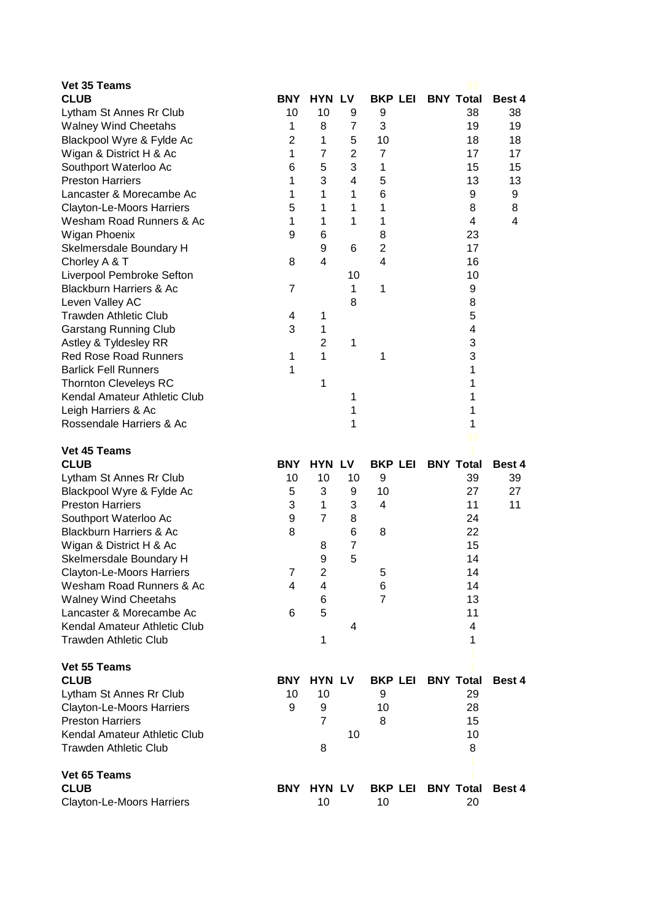| Vet 35 Teams                                                 |                  |                |                |                |                          |               |
|--------------------------------------------------------------|------------------|----------------|----------------|----------------|--------------------------|---------------|
| <b>CLUB</b>                                                  | <b>BNY</b>       | <b>HYN LV</b>  |                |                | <b>BKP LEI BNY Total</b> | Best 4        |
| Lytham St Annes Rr Club                                      | 10               | 10             | 9              | 9              | 38                       | 38            |
| <b>Walney Wind Cheetahs</b>                                  | 1                | 8              | 7              | 3              | 19                       | 19            |
| Blackpool Wyre & Fylde Ac                                    | $\overline{2}$   | 1              | 5              | 10             | 18                       | 18            |
| Wigan & District H & Ac                                      | $\mathbf{1}$     | $\overline{7}$ | $\overline{2}$ | $\overline{7}$ | 17                       | 17            |
| Southport Waterloo Ac                                        | $6\phantom{1}6$  | 5              | 3              | 1              | 15                       | 15            |
| <b>Preston Harriers</b>                                      | 1                | 3              | 4              | 5              | 13                       | 13            |
| Lancaster & Morecambe Ac                                     | 1                | 1              | 1              | 6              | 9                        | 9             |
| Clayton-Le-Moors Harriers                                    | 5                | 1              | 1              | 1              | 8                        | 8             |
| Wesham Road Runners & Ac                                     | 1                | 1              | 1              | 1              | 4                        | 4             |
| Wigan Phoenix                                                | 9                | 6              |                | 8              | 23                       |               |
| Skelmersdale Boundary H                                      |                  | 9              | 6              | $\overline{c}$ | 17                       |               |
| Chorley A & T                                                | 8                | 4              |                | $\overline{4}$ | 16                       |               |
| Liverpool Pembroke Sefton                                    |                  |                | 10             |                | 10                       |               |
| <b>Blackburn Harriers &amp; Ac</b>                           | 7                |                | 1              | 1              | 9                        |               |
| Leven Valley AC                                              |                  |                | 8              |                | 8                        |               |
| <b>Trawden Athletic Club</b>                                 | 4                | 1              |                |                | 5                        |               |
| <b>Garstang Running Club</b>                                 | 3                | 1              |                |                | 4                        |               |
| Astley & Tyldesley RR                                        |                  | $\overline{2}$ | 1              |                | 3<br>3                   |               |
| <b>Red Rose Road Runners</b>                                 | 1                | 1              |                | 1              | 1                        |               |
| <b>Barlick Fell Runners</b>                                  | 1                | 1              |                |                | 1                        |               |
| <b>Thornton Cleveleys RC</b><br>Kendal Amateur Athletic Club |                  |                | 1              |                | 1                        |               |
| Leigh Harriers & Ac                                          |                  |                | 1              |                | 1                        |               |
| Rossendale Harriers & Ac                                     |                  |                | 1              |                | 1                        |               |
|                                                              |                  |                |                |                | 99                       |               |
| Vet 45 Teams                                                 |                  |                |                |                |                          |               |
| <b>CLUB</b>                                                  | <b>BNY</b>       | <b>HYN LV</b>  |                | <b>BKP LEI</b> | <b>BNY Total</b>         | Best 4        |
| Lytham St Annes Rr Club                                      | 10               | 10             | 10             | 9              | 39                       | 39            |
| Blackpool Wyre & Fylde Ac                                    | 5                | 3              | 9              | 10             | 27                       | 27            |
| <b>Preston Harriers</b>                                      | 3                | 1              | 3              | 4              | 11                       | 11            |
| Southport Waterloo Ac                                        | $\boldsymbol{9}$ | $\overline{7}$ | 8              |                | 24                       |               |
| <b>Blackburn Harriers &amp; Ac</b>                           | 8                |                | 6              | 8              | 22                       |               |
| Wigan & District H & Ac                                      |                  | 8              | $\overline{7}$ |                | 15                       |               |
| Skelmersdale Boundary H                                      |                  | 9              | 5              |                | 14                       |               |
| Clayton-Le-Moors Harriers                                    | 7                | 2              |                | 5              | 14                       |               |
| Wesham Road Runners & Ac                                     | 4                | 4              |                | 6              | 14                       |               |
| <b>Walney Wind Cheetahs</b>                                  |                  | 6              |                | $\overline{7}$ | 13                       |               |
| Lancaster & Morecambe Ac                                     | 6                | 5              |                |                | 11                       |               |
| Kendal Amateur Athletic Club                                 |                  |                | 4              |                | 4                        |               |
| <b>Trawden Athletic Club</b>                                 |                  | 1              |                |                | 1                        |               |
|                                                              |                  |                |                |                |                          |               |
| Vet 55 Teams<br><b>CLUB</b>                                  | <b>BNY</b>       | <b>HYN LV</b>  |                | <b>BKP LEI</b> | <b>BNY Total</b>         | Best 4        |
| Lytham St Annes Rr Club                                      | 10               | 10             |                | 9              | 29                       |               |
| Clayton-Le-Moors Harriers                                    | 9                | 9              |                | 10             | 28                       |               |
| <b>Preston Harriers</b>                                      |                  | $\overline{7}$ |                | 8              | 15                       |               |
| Kendal Amateur Athletic Club                                 |                  |                | 10             |                | 10                       |               |
| <b>Trawden Athletic Club</b>                                 |                  | 8              |                |                | 8                        |               |
|                                                              |                  |                |                |                |                          |               |
| Vet 65 Teams                                                 |                  |                |                |                |                          |               |
| <b>CLUB</b>                                                  | BNY              | <b>HYN LV</b>  |                | <b>BKP LEI</b> | <b>BNY Total</b>         | <b>Best 4</b> |
| <b>Clayton-Le-Moors Harriers</b>                             |                  | 10             |                | 10             | 20                       |               |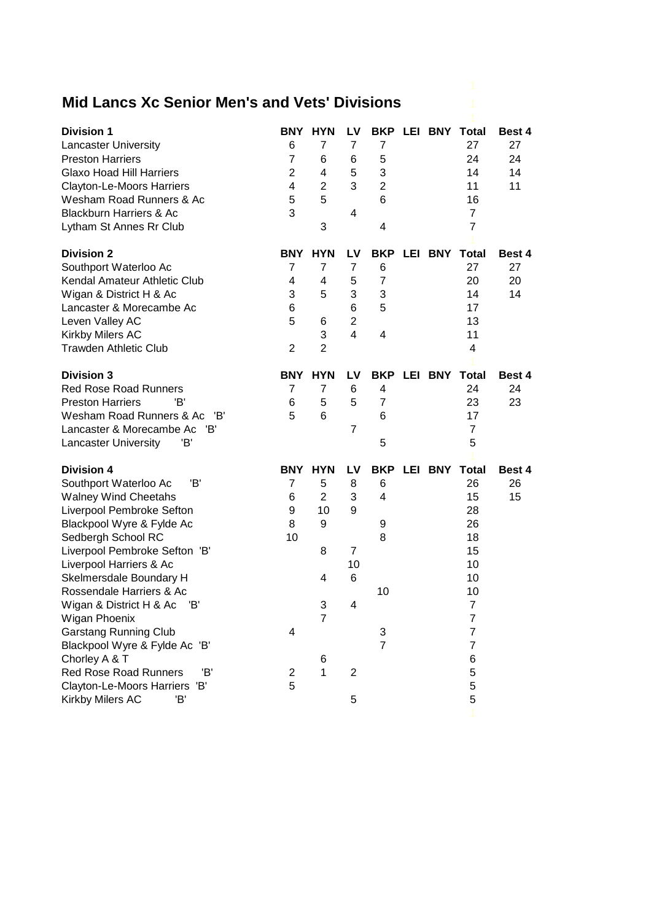## **Mid Lancs Xc Senior Men's and Vets' Divisions** 1

| <b>Division 1</b>                  | BNY.           | <b>HYN</b>     | LV                  |                     |               | <b>BKP LEI BNY Total</b>   | Best 4        |
|------------------------------------|----------------|----------------|---------------------|---------------------|---------------|----------------------------|---------------|
| <b>Lancaster University</b>        | 6              | 7              | 7                   | $\overline{7}$      |               | 27                         | 27            |
| <b>Preston Harriers</b>            | $\overline{7}$ | 6              | 6                   | 5                   |               | 24                         | 24            |
| <b>Glaxo Hoad Hill Harriers</b>    | $\overline{2}$ | 4              | 5                   | 3                   |               | 14                         | 14            |
| <b>Clayton-Le-Moors Harriers</b>   | 4              | $\overline{2}$ | 3                   | $\overline{2}$      |               | 11                         | 11            |
| Wesham Road Runners & Ac           | 5              | 5              |                     | $6\phantom{1}6$     |               | 16                         |               |
| <b>Blackburn Harriers &amp; Ac</b> | 3              |                | 4                   |                     |               | $\overline{7}$             |               |
| Lytham St Annes Rr Club            |                | 3              |                     | 4                   |               | $\overline{7}$             |               |
|                                    |                |                |                     |                     |               |                            |               |
| <b>Division 2</b>                  | <b>BNY</b>     | <b>HYN</b>     | LV                  | <b>BKP</b>          |               | <b>LEI BNY Total</b><br>27 | Best 4        |
| Southport Waterloo Ac              | 7              | 7<br>4         | $\overline{7}$<br>5 | 6<br>$\overline{7}$ |               |                            | 27            |
| Kendal Amateur Athletic Club       | 4              | 5              | 3                   |                     |               | 20                         | 20            |
| Wigan & District H & Ac            | 3<br>6         |                | 6                   | 3<br>5              |               | 14                         | 14            |
| Lancaster & Morecambe Ac           | 5              |                | $\overline{2}$      |                     |               | 17                         |               |
| Leven Valley AC                    |                | 6<br>3         | $\overline{4}$      | 4                   |               | 13                         |               |
| Kirkby Milers AC                   | $\overline{2}$ | $\overline{2}$ |                     |                     |               | 11<br>4                    |               |
| <b>Trawden Athletic Club</b>       |                |                |                     |                     |               |                            |               |
| <b>Division 3</b>                  | BNY            | <b>HYN</b>     | LV                  | <b>BKP</b>          | LEI BNY Total |                            | Best 4        |
| <b>Red Rose Road Runners</b>       | $\overline{7}$ | $\overline{7}$ | 6                   | 4                   |               | 24                         | 24            |
| <b>Preston Harriers</b><br>'B'     | 6              | 5              | 5                   | $\overline{7}$      |               | 23                         | 23            |
| Wesham Road Runners & Ac<br>'B'    | 5              | 6              |                     | 6                   |               | 17                         |               |
| Lancaster & Morecambe Ac 'B'       |                |                | $\overline{7}$      |                     |               | $\overline{7}$             |               |
| 'B'<br><b>Lancaster University</b> |                |                |                     | 5                   |               | 5                          |               |
|                                    |                |                |                     |                     |               |                            |               |
| <b>Division 4</b>                  | BNY            | <b>HYN</b>     | LV                  | <b>BKP</b>          |               | <b>LEI BNY Total</b>       | <b>Best 4</b> |
| 'B'<br>Southport Waterloo Ac       | $\overline{7}$ | 5              | 8                   | 6                   |               | 26                         | 26            |
| <b>Walney Wind Cheetahs</b>        | 6              | $\overline{2}$ | 3                   | $\overline{4}$      |               | 15                         | 15            |
| Liverpool Pembroke Sefton          | 9              | 10             | 9                   |                     |               | 28                         |               |
| Blackpool Wyre & Fylde Ac          | 8              | 9              |                     | 9                   |               | 26                         |               |
| Sedbergh School RC                 | 10             |                |                     | 8                   |               | 18                         |               |
| Liverpool Pembroke Sefton 'B'      |                | 8              | 7                   |                     |               | 15                         |               |
| Liverpool Harriers & Ac            |                |                | 10                  |                     |               | 10                         |               |
| Skelmersdale Boundary H            |                | 4              | 6                   |                     |               | 10                         |               |
| Rossendale Harriers & Ac           |                |                |                     | 10                  |               | 10                         |               |
| Wigan & District H & Ac<br>'B'     |                | 3              | 4                   |                     |               | $\overline{7}$             |               |
| Wigan Phoenix                      |                | $\overline{7}$ |                     |                     |               | 7                          |               |
| <b>Garstang Running Club</b>       | 4              |                |                     | 3                   |               | 7                          |               |
| Blackpool Wyre & Fylde Ac 'B'      |                |                |                     | $\overline{7}$      |               | 7                          |               |
| Chorley A & T                      |                | 6              |                     |                     |               | 6                          |               |
| Red Rose Road Runners<br>Έ,        | $\overline{2}$ | 1              | $\overline{c}$      |                     |               | 5                          |               |
| Clayton-Le-Moors Harriers 'B'      | 5              |                |                     |                     |               | 5                          |               |
| Kirkby Milers AC<br>'B'            |                |                | 5                   |                     |               | 5                          |               |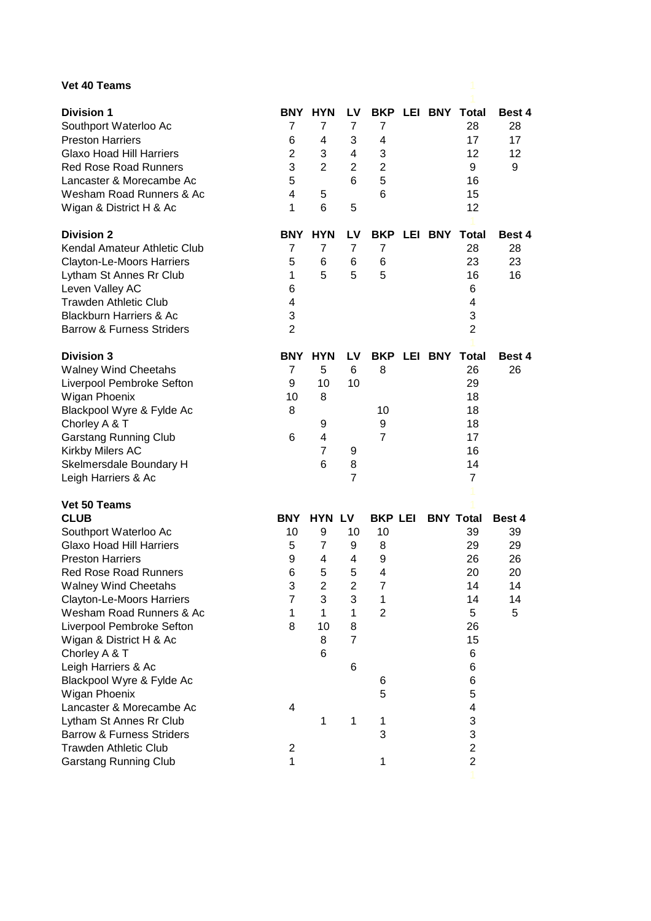## **Vet 40 Teams**

| <b>Vet 40 Teams</b>                                                                                                                                                                                                                                                                                                                                                                                                                                                                                                                                     |                                                                                              |                                                                                                 |                                                                                |                                                                                                                  |                  |                                                                                                                          |                                                 |
|---------------------------------------------------------------------------------------------------------------------------------------------------------------------------------------------------------------------------------------------------------------------------------------------------------------------------------------------------------------------------------------------------------------------------------------------------------------------------------------------------------------------------------------------------------|----------------------------------------------------------------------------------------------|-------------------------------------------------------------------------------------------------|--------------------------------------------------------------------------------|------------------------------------------------------------------------------------------------------------------|------------------|--------------------------------------------------------------------------------------------------------------------------|-------------------------------------------------|
| <b>Division 1</b><br>Southport Waterloo Ac<br><b>Preston Harriers</b><br><b>Glaxo Hoad Hill Harriers</b><br><b>Red Rose Road Runners</b><br>Lancaster & Morecambe Ac<br>Wesham Road Runners & Ac<br>Wigan & District H & Ac                                                                                                                                                                                                                                                                                                                             | 7<br>6<br>$\overline{2}$<br>3<br>5<br>4<br>1                                                 | BNY HYN<br>7<br>4<br>3<br>$\overline{2}$<br>5<br>6                                              | LV.<br>$\overline{7}$<br>3<br>4<br>$\overline{2}$<br>6<br>5                    | 7<br>4<br>3<br>$\overline{2}$<br>5<br>6                                                                          |                  | <b>BKP LEI BNY Total</b><br>28<br>17<br>12<br>9<br>16<br>15<br>12                                                        | Best 4<br>28<br>17<br>12<br>9                   |
| <b>Division 2</b><br>Kendal Amateur Athletic Club<br>Clayton-Le-Moors Harriers<br>Lytham St Annes Rr Club<br>Leven Valley AC<br><b>Trawden Athletic Club</b><br>Blackburn Harriers & Ac<br><b>Barrow &amp; Furness Striders</b>                                                                                                                                                                                                                                                                                                                         | <b>BNY</b><br>7<br>5<br>1<br>6<br>4<br>3<br>$\overline{2}$                                   | <b>HYN</b><br>$\overline{7}$<br>6<br>5                                                          | LV<br>$\overline{7}$<br>6<br>5                                                 | <b>BKP</b><br>$\overline{7}$<br>6<br>5                                                                           | LEI BNY          | <b>Total</b><br>28<br>23<br>16<br>6<br>4<br>3<br>$\overline{2}$                                                          | <b>Best 4</b><br>28<br>23<br>16                 |
| <b>Division 3</b><br><b>Walney Wind Cheetahs</b><br>Liverpool Pembroke Sefton<br>Wigan Phoenix<br>Blackpool Wyre & Fylde Ac<br>Chorley A & T<br><b>Garstang Running Club</b><br>Kirkby Milers AC<br>Skelmersdale Boundary H<br>Leigh Harriers & Ac                                                                                                                                                                                                                                                                                                      | <b>BNY</b><br>7<br>9<br>10<br>8<br>6                                                         | <b>HYN</b><br>5<br>10<br>8<br>9<br>4<br>$\overline{7}$<br>6                                     | LV<br>6<br>10<br>9<br>8<br>$\overline{7}$                                      | 8<br>10<br>9<br>$\overline{7}$                                                                                   |                  | <b>BKP LEI BNY Total</b><br>26<br>29<br>18<br>18<br>18<br>17<br>16<br>14<br>$\overline{7}$                               | Best 4<br>26                                    |
| Vet 50 Teams<br><b>CLUB</b><br>Southport Waterloo Ac<br><b>Glaxo Hoad Hill Harriers</b><br><b>Preston Harriers</b><br><b>Red Rose Road Runners</b><br><b>Walney Wind Cheetahs</b><br>Clayton-Le-Moors Harriers<br>Wesham Road Runners & Ac<br>Liverpool Pembroke Sefton<br>Wigan & District H & Ac<br>Chorley A & T<br>Leigh Harriers & Ac<br>Blackpool Wyre & Fylde Ac<br>Wigan Phoenix<br>Lancaster & Morecambe Ac<br>Lytham St Annes Rr Club<br><b>Barrow &amp; Furness Striders</b><br><b>Trawden Athletic Club</b><br><b>Garstang Running Club</b> | <b>BNY</b><br>10<br>5<br>9<br>6<br>3<br>$\overline{7}$<br>1<br>8<br>4<br>$\overline{c}$<br>1 | <b>HYN LV</b><br>9<br>$\overline{7}$<br>4<br>5<br>$\overline{2}$<br>3<br>1<br>10<br>8<br>6<br>1 | 10<br>9<br>4<br>5<br>$\overline{c}$<br>3<br>1<br>8<br>$\overline{7}$<br>6<br>1 | <b>BKP LEI</b><br>10<br>8<br>9<br>4<br>$\overline{7}$<br>$\mathbf{1}$<br>$\overline{2}$<br>6<br>5<br>1<br>3<br>1 | <b>BNY Total</b> | 39<br>29<br>26<br>20<br>14<br>14<br>5<br>26<br>15<br>6<br>6<br>6<br>5<br>4<br>3<br>3<br>$\overline{2}$<br>$\overline{2}$ | Best 4<br>39<br>29<br>26<br>20<br>14<br>14<br>5 |
|                                                                                                                                                                                                                                                                                                                                                                                                                                                                                                                                                         |                                                                                              |                                                                                                 |                                                                                |                                                                                                                  |                  |                                                                                                                          |                                                 |